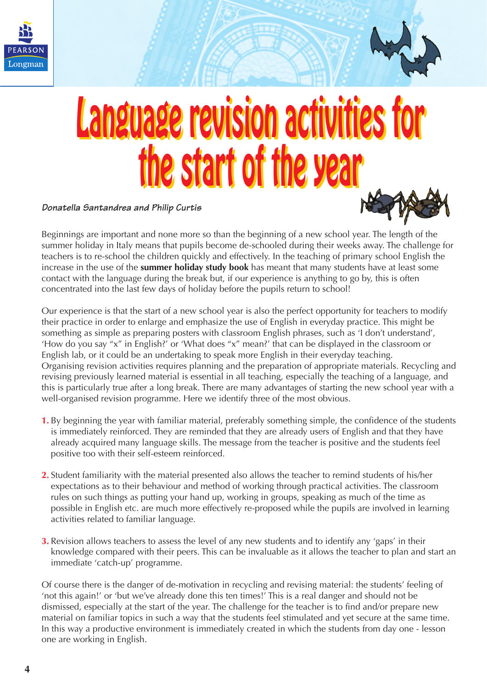



# Language revision activities for Language revision activities for the start of the year the start of the year

### **Donatella Santandrea and Philip Curtis**

**Primary** Times



Beginnings are important and none more so than the beginning of a new school year. The length of the summer holiday in Italy means that pupils become de-schooled during their weeks away. The challenge for teachers is to re-school the children quickly and effectively. In the teaching of primary school English the increase in the use of the **summer holiday study book** has meant that many students have at least some contact with the language during the break but, if our experience is anything to go by, this is often concentrated into the last few days of holiday before the pupils return to school!

Our experience is that the start of a new school year is also the perfect opportunity for teachers to modify their practice in order to enlarge and emphasize the use of English in everyday practice. This might be something as simple as preparing posters with classroom English phrases, such as 'I don't understand', 'How do you say "x" in English?' or 'What does "x" mean?' that can be displayed in the classroom or English lab, or it could be an undertaking to speak more English in their everyday teaching. Organising revision activities requires planning and the preparation of appropriate materials. Recycling and revising previously learned material is essential in all teaching, especially the teaching of a language, and this is particularly true after a long break. There are many advantages of starting the new school year with a well-organised revision programme. Here we identify three of the most obvious.

- **1.** By beginning the year with familiar material, preferably something simple, the confidence of the students is immediately reinforced. They are reminded that they are already users of English and that they have already acquired many language skills. The message from the teacher is positive and the students feel positive too with their self-esteem reinforced.
- **2.** Student familiarity with the material presented also allows the teacher to remind students of his/her expectations as to their behaviour and method of working through practical activities. The classroom rules on such things as putting your hand up, working in groups, speaking as much of the time as possible in English etc. are much more effectively re-proposed while the pupils are involved in learning activities related to familiar language.
- **3.** Revision allows teachers to assess the level of any new students and to identify any 'gaps' in their knowledge compared with their peers. This can be invaluable as it allows the teacher to plan and start an immediate 'catch-up' programme.

Of course there is the danger of de-motivation in recycling and revising material: the students' feeling of 'not this again!' or 'but we've already done this ten times!' This is a real danger and should not be dismissed, especially at the start of the year. The challenge for the teacher is to find and/or prepare new material on familiar topics in such a way that the students feel stimulated and yet secure at the same time. In this way a productive environment is immediately created in which the students from day one - lesson one are working in English.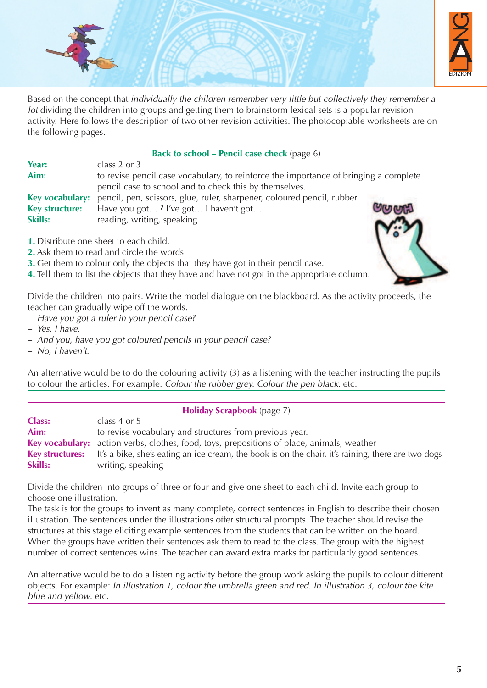

Based on the concept that individually the children remember very little but collectively they remember a lot dividing the children into groups and getting them to brainstorm lexical sets is a popular revision activity. Here follows the description of two other revision activities. The photocopiable worksheets are on the following pages.

#### **Back to school – Pencil case check** (page 6)

| Year:          | class 2 or $3$                                                                         |  |
|----------------|----------------------------------------------------------------------------------------|--|
| Aim:           | to revise pencil case vocabulary, to reinforce the importance of bringing a complete   |  |
|                | pencil case to school and to check this by themselves.                                 |  |
|                | Key vocabulary: pencil, pen, scissors, glue, ruler, sharpener, coloured pencil, rubber |  |
| Key structure: | Have you got? I've got I haven't got                                                   |  |
| <b>Skills:</b> | reading, writing, speaking                                                             |  |

- **1.** Distribute one sheet to each child.
- **2.** Ask them to read and circle the words.
- **3.** Get them to colour only the objects that they have got in their pencil case.

**4.** Tell them to list the objects that they have and have not got in the appropriate column.

Divide the children into pairs. Write the model dialogue on the blackboard. As the activity proceeds, the teacher can gradually wipe off the words.

- Have you got a ruler in your pencil case?
- Yes, I have.
- And you, have you got coloured pencils in your pencil case?

– No, I haven't.

An alternative would be to do the colouring activity (3) as a listening with the teacher instructing the pupils to colour the articles. For example: Colour the rubber grey. Colour the pen black. etc.

### **Holiday Scrapbook** (page 7) **Class:** class 4 or 5 Aim: to revise vocabulary and structures from previous year. **Key vocabulary:** action verbs, clothes, food, toys, prepositions of place, animals, weather **Key structures:** It's a bike, she's eating an ice cream, the book is on the chair, it's raining, there are two dogs writing, speaking **Skills:** writing, speaking

Divide the children into groups of three or four and give one sheet to each child. Invite each group to choose one illustration.

The task is for the groups to invent as many complete, correct sentences in English to describe their chosen illustration. The sentences under the illustrations offer structural prompts. The teacher should revise the structures at this stage eliciting example sentences from the students that can be written on the board. When the groups have written their sentences ask them to read to the class. The group with the highest number of correct sentences wins. The teacher can award extra marks for particularly good sentences.

An alternative would be to do a listening activity before the group work asking the pupils to colour different objects. For example: In illustration 1, colour the umbrella green and red. In illustration 3, colour the kite blue and yellow. etc.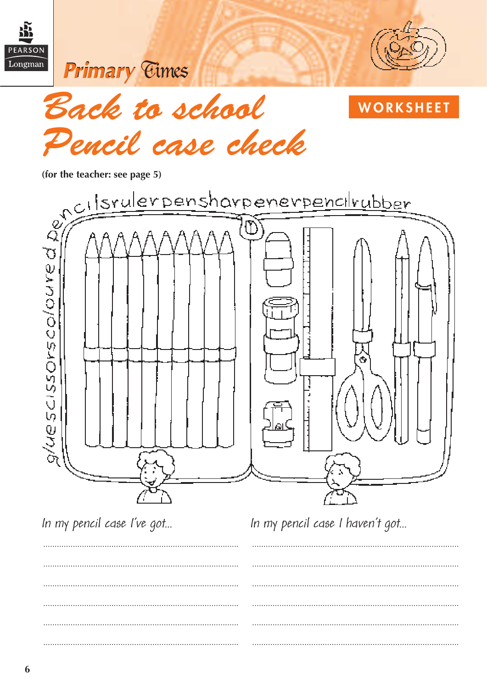



**WORKSHEET** 





In my pencil case I've got...

In my pencil case I haven't got...